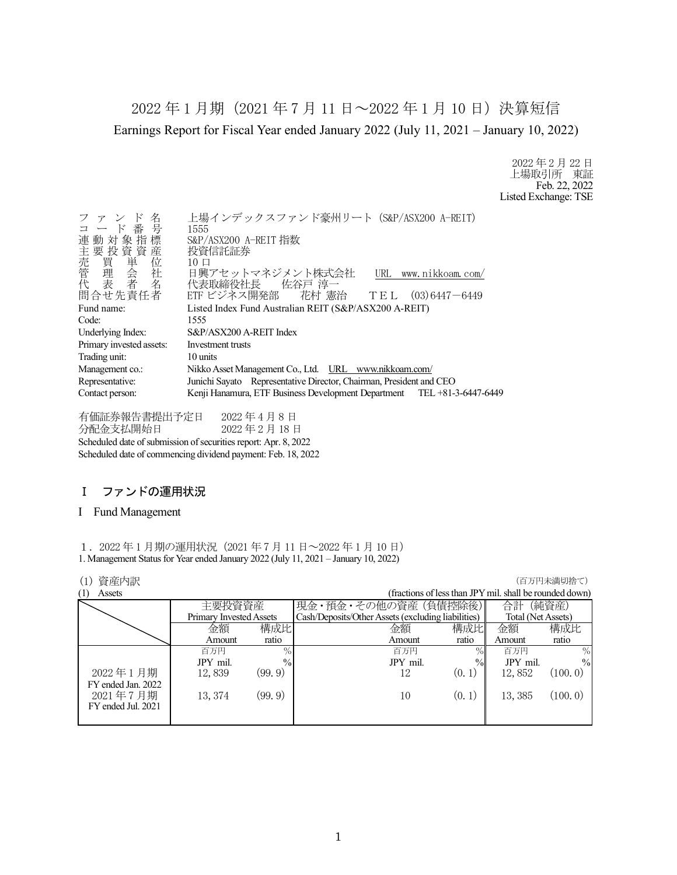2022 年 1 月期(2021 年 7 月 11 日~2022 年 1 月 10 日)決算短信 Earnings Report for Fiscal Year ended January 2022 (July 11, 2021 – January 10, 2022)

> 2022 年 2 月 22 日 上場取引所 東証 Feb. 22, 2022 Listed Exchange: TSE

| Listed Index Fund Australian REIT (S&P/ASX200 A-REIT)<br>Fund name:<br>Code:<br>1555<br>S&P/ASX200 A-REIT Index<br>Underlying Index:<br>Primary invested assets:<br>Investment trusts<br>Trading unit:<br>10 units<br>Nikko Asset Management Co., Ltd. URL www.nikkoam.com/<br>Management co.:<br>Junichi Sayato Representative Director, Chairman, President and CEO<br>Representative: | $\mathbb{R}$<br>名<br>ファン<br>コード番号<br>連動対象指標<br>主要投資資産<br><b>一売管理表<br/>《買理表】者</b><br>代表<br>問合せ先責任者 | 上場インデックスファンド豪州リート (S&P/ASX200 A-REIT)<br>1555<br>S&P/ASX200 A-REIT 指数<br>投資信託証券<br>$10 \Box$<br>日興アセットマネジメント株式会社<br>URL www.nikkoam.com/<br>代表取締役社長 佐谷戸 淳一<br>ETF ビジネス開発部 花村 憲治 TEL (03)6447-6449 |
|------------------------------------------------------------------------------------------------------------------------------------------------------------------------------------------------------------------------------------------------------------------------------------------------------------------------------------------------------------------------------------------|---------------------------------------------------------------------------------------------------|---------------------------------------------------------------------------------------------------------------------------------------------------------------------------------------------------|
|                                                                                                                                                                                                                                                                                                                                                                                          |                                                                                                   |                                                                                                                                                                                                   |
|                                                                                                                                                                                                                                                                                                                                                                                          |                                                                                                   |                                                                                                                                                                                                   |
|                                                                                                                                                                                                                                                                                                                                                                                          |                                                                                                   |                                                                                                                                                                                                   |
|                                                                                                                                                                                                                                                                                                                                                                                          |                                                                                                   |                                                                                                                                                                                                   |
|                                                                                                                                                                                                                                                                                                                                                                                          |                                                                                                   |                                                                                                                                                                                                   |
|                                                                                                                                                                                                                                                                                                                                                                                          |                                                                                                   |                                                                                                                                                                                                   |
|                                                                                                                                                                                                                                                                                                                                                                                          |                                                                                                   |                                                                                                                                                                                                   |
|                                                                                                                                                                                                                                                                                                                                                                                          | Contact person:                                                                                   | Kenji Hanamura, ETF Business Development Department TEL +81-3-6447-6449                                                                                                                           |

有価証券報告書提出予定日 2022 年 4 月 8 日 分配金支払開始日 2022 年 2 月 18 日 Scheduled date of submission of securities report: Apr. 8, 2022 Scheduled date of commencing dividend payment: Feb. 18, 2022

# Ⅰ ファンドの運用状況

#### I Fund Management

1.2022 年 1 月期の運用状況(2021 年 7 月 11 日~2022 年 1 月 10 日) 1. Management Status for Year ended January 2022 (July 11, 2021 – January 10, 2022)

## (1) 資産内訳 (百万円未満切捨て)

| \ + /<br>- 53 A JHV \ |                         |               |                                                    |        |                                                         | ヽ — ノノ + ノ/ ヽ !!~! ノノ」 — ヽ ノ |
|-----------------------|-------------------------|---------------|----------------------------------------------------|--------|---------------------------------------------------------|------------------------------|
| (1)<br>Assets         |                         |               |                                                    |        | (fractions of less than JPY mil. shall be rounded down) |                              |
|                       | 主要投資資産                  |               | 現金・預金・その他の資産(負債控除後)                                |        | 合計                                                      | (純資産)                        |
|                       | Primary Invested Assets |               | Cash/Deposits/Other Assets (excluding liabilities) |        | Total (Net Assets)                                      |                              |
|                       | 金額                      | 構成比           | 金額                                                 | 構成比    | 金額                                                      | 構成比                          |
|                       | Amount                  | ratio         | Amount                                             | ratio  | Amount                                                  | ratio                        |
|                       | 百万円                     | $\%$          | 百万円                                                | $\%$   | 百万円                                                     | $\frac{0}{0}$                |
|                       | JPY mil.                | $\frac{0}{0}$ | JPY mil.                                           | $\%$   | JPY mil.                                                | $\frac{0}{0}$                |
| 2022年1月期              | 12,839                  | (99.9)        | 12                                                 | (0, 1) | 12,852                                                  | (100.0)                      |
| FY ended Jan. 2022    |                         |               |                                                    |        |                                                         |                              |
| 2021年7月期              | 13, 374                 | (99.9)        | 10                                                 | (0, 1) | 13,385                                                  | (100.0)                      |
| FY ended Jul. 2021    |                         |               |                                                    |        |                                                         |                              |
|                       |                         |               |                                                    |        |                                                         |                              |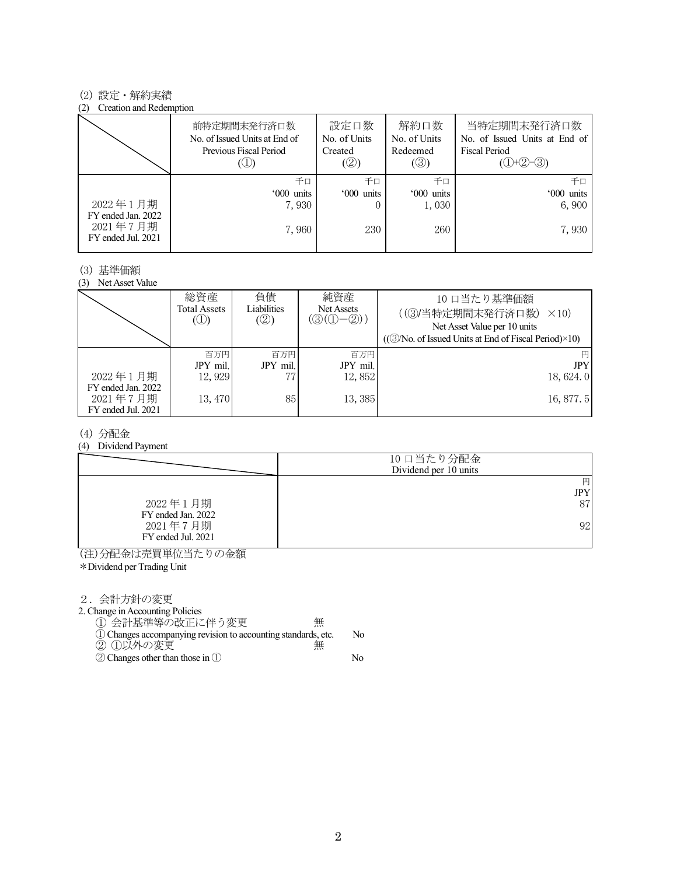#### (2) 設定・解約実績

#### (2) Creation and Redemption

|                                                      | 前特定期間末発行済口数<br>No. of Issued Units at End of<br>Previous Fiscal Period | 設定口数<br>No. of Units<br>Created<br>(②) | 解約口数<br>No. of Units<br>Redeemed<br>$(\circledS)$ | 当特定期間末発行済口数<br>No. of Issued Units at End of<br>Fiscal Period<br>$(①+②-③)$ |
|------------------------------------------------------|------------------------------------------------------------------------|----------------------------------------|---------------------------------------------------|----------------------------------------------------------------------------|
|                                                      | 千口                                                                     | 千口                                     | 千口                                                | 千口                                                                         |
|                                                      | '000 units                                                             | '000 units                             | '000 units                                        | '000 units                                                                 |
| 2022年1月期                                             | 7,930                                                                  |                                        | 1,030                                             | 6,900                                                                      |
| FY ended Jan. 2022<br>2021年7月期<br>FY ended Jul. 2021 | 7,960                                                                  | 230                                    | 260                                               | 7,930                                                                      |

#### (3) 基準価額

(3) Net Asset Value

|                                                      | 総資産<br>Total Assets<br>$\circledcirc$ | 負債<br>Liabilities<br>(②) | 純資産<br>Net Assets<br>$(\textcircled{3}(\textcircled{1}-\textcircled{2}))$ | 10 口当たり基準価額<br>((3)当特定期間末発行済口数)<br>$\times$ 10)<br>Net Asset Value per 10 units<br>$((\textcircled{3}/No. of Issued Units at End of Fiscal Period)\times10)$ |
|------------------------------------------------------|---------------------------------------|--------------------------|---------------------------------------------------------------------------|--------------------------------------------------------------------------------------------------------------------------------------------------------------|
|                                                      | 百万円<br>JPY mil.                       | 百万円<br>JPY mil.          | 百万円<br>JPY mil.                                                           | <b>JPY</b>                                                                                                                                                   |
| 2022年1月期                                             | 12,929                                |                          | 12.852                                                                    | 18, 624.0                                                                                                                                                    |
| FY ended Jan. 2022<br>2021年7月期<br>FY ended Jul. 2021 | 13,470                                | 85                       | 13,385                                                                    | 16, 877. 5                                                                                                                                                   |

#### (4) 分配金

(4) Dividend Payment

|                                | 10 口当たり分配金<br>Dividend per 10 units |
|--------------------------------|-------------------------------------|
|                                | 円<br><b>JPY</b>                     |
|                                |                                     |
| 2022年1月期<br>FY ended Jan. 2022 | 87                                  |
| 2021年7月期<br>FY ended Jul. 2021 | 92                                  |

(注)分配金は売買単位当たりの金額

\*Dividend per Trading Unit

2.会計方針の変更

2. Change in Accounting Policies

① 会計基準等の改正に伴う変更 無 ①Changes accompanying revision to accounting standards, etc. No

- ② ①以外の変更 無
- ②Changes other than those in ① No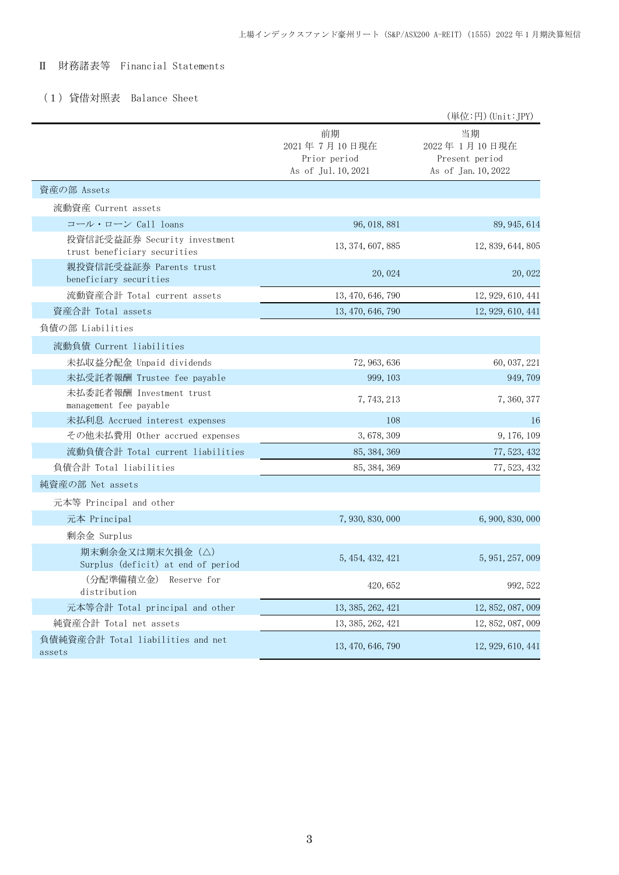### Ⅱ 財務諸表等 Financial Statements

# (1)貸借対照表 Balance Sheet

|                                                              |                                                           | (単位:円) (Unit:JPY)                                           |
|--------------------------------------------------------------|-----------------------------------------------------------|-------------------------------------------------------------|
|                                                              | 前期<br>2021年7月10日現在<br>Prior period<br>As of Jul. 10, 2021 | 当期<br>2022年1月10日現在<br>Present period<br>As of Jan. 10, 2022 |
| 資産の部 Assets                                                  |                                                           |                                                             |
| 流動資産 Current assets                                          |                                                           |                                                             |
| コール・ローン Call loans                                           | 96, 018, 881                                              | 89, 945, 614                                                |
| 投資信託受益証券 Security investment<br>trust beneficiary securities | 13, 374, 607, 885                                         | 12, 839, 644, 805                                           |
| 親投資信託受益証券 Parents trust<br>beneficiary securities            | 20, 024                                                   | 20, 022                                                     |
| 流動資産合計 Total current assets                                  | 13, 470, 646, 790                                         | 12, 929, 610, 441                                           |
| 資産合計 Total assets                                            | 13, 470, 646, 790                                         | 12, 929, 610, 441                                           |
| 負債の部 Liabilities                                             |                                                           |                                                             |
| 流動負債 Current liabilities                                     |                                                           |                                                             |
| 未払収益分配金 Unpaid dividends                                     | 72, 963, 636                                              | 60, 037, 221                                                |
| 未払受託者報酬 Trustee fee payable                                  | 999, 103                                                  | 949, 709                                                    |
| 未払委託者報酬 Investment trust<br>management fee payable           | 7, 743, 213                                               | 7, 360, 377                                                 |
| 未払利息 Accrued interest expenses                               | 108                                                       | 16                                                          |
| その他未払費用 Other accrued expenses                               | 3,678,309                                                 | 9, 176, 109                                                 |
| 流動負債合計 Total current liabilities                             | 85, 384, 369                                              | 77, 523, 432                                                |
| 負債合計 Total liabilities                                       | 85, 384, 369                                              | 77, 523, 432                                                |
| 純資産の部 Net assets                                             |                                                           |                                                             |
| 元本等 Principal and other                                      |                                                           |                                                             |
| 元本 Principal                                                 | 7, 930, 830, 000                                          | 6, 900, 830, 000                                            |
| 剰余金 Surplus                                                  |                                                           |                                                             |
| 期末剰余金又は期末欠損金(△)<br>Surplus (deficit) at end of period        | 5, 454, 432, 421                                          | 5, 951, 257, 009                                            |
| (分配準備積立金) Reserve for<br>distribution                        | 420, 652                                                  | 992, 522                                                    |
| 元本等合計 Total principal and other                              | 13, 385, 262, 421                                         | 12, 852, 087, 009                                           |
| 純資産合計 Total net assets                                       | 13, 385, 262, 421                                         | 12, 852, 087, 009                                           |
| 負債純資産合計 Total liabilities and net<br>assets                  | 13, 470, 646, 790                                         | 12, 929, 610, 441                                           |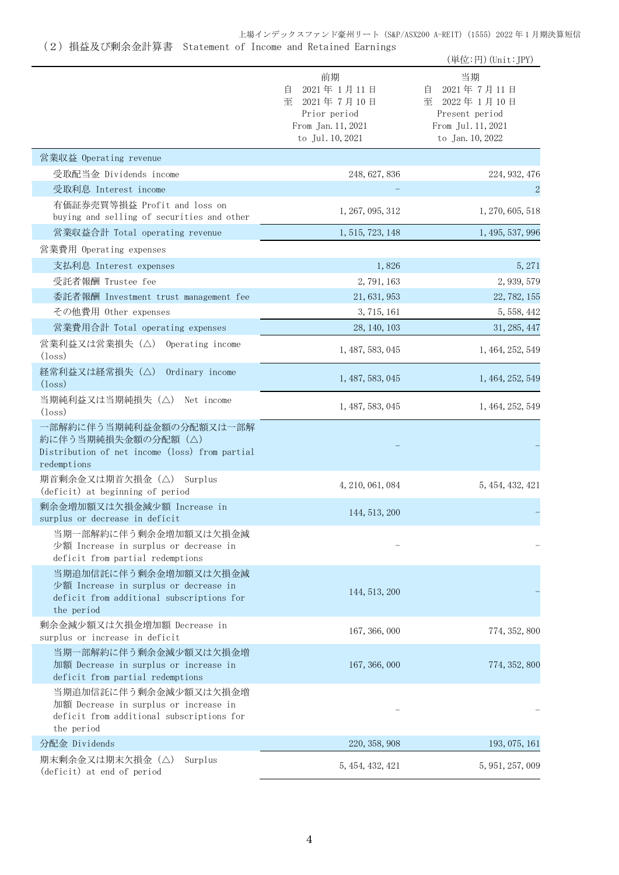上場インデックスファンド豪州リート (S&P/ASX200 A-REIT) (1555) 2022 年 1 月期決算短信

| (2) 損益及び剰余金計算書 Statement of Income and Retained Earnings |  |  |  |
|----------------------------------------------------------|--|--|--|
|                                                          |  |  |  |

|                                                                                                                           |                                                                                                    | (単位:円) (Unit:JPY)                                                                                     |
|---------------------------------------------------------------------------------------------------------------------------|----------------------------------------------------------------------------------------------------|-------------------------------------------------------------------------------------------------------|
|                                                                                                                           | 前期<br>2021年1月11日<br>自<br>至<br>2021年7月10日<br>Prior period<br>From Jan. 11, 2021<br>to Jul. 10, 2021 | 当期<br>2021年7月11日<br>目<br>至<br>2022年 1月10日<br>Present period<br>From Jul. 11, 2021<br>to Jan. 10, 2022 |
| 営業収益 Operating revenue                                                                                                    |                                                                                                    |                                                                                                       |
| 受取配当金 Dividends income                                                                                                    | 248, 627, 836                                                                                      | 224, 932, 476                                                                                         |
| 受取利息 Interest income                                                                                                      |                                                                                                    | $\overline{2}$                                                                                        |
| 有価証券売買等損益 Profit and loss on<br>buying and selling of securities and other                                                | 1, 267, 095, 312                                                                                   | 1, 270, 605, 518                                                                                      |
| 営業収益合計 Total operating revenue                                                                                            | 1, 515, 723, 148                                                                                   | 1, 495, 537, 996                                                                                      |
| 営業費用 Operating expenses                                                                                                   |                                                                                                    |                                                                                                       |
| 支払利息 Interest expenses                                                                                                    | 1,826                                                                                              | 5, 271                                                                                                |
| 受託者報酬 Trustee fee                                                                                                         | 2,791,163                                                                                          | 2, 939, 579                                                                                           |
| 委託者報酬 Investment trust management fee                                                                                     | 21, 631, 953                                                                                       | 22, 782, 155                                                                                          |
| その他費用 Other expenses                                                                                                      | 3, 715, 161                                                                                        | 5, 558, 442                                                                                           |
| 営業費用合計 Total operating expenses                                                                                           | 28, 140, 103                                                                                       | 31, 285, 447                                                                                          |
| 営業利益又は営業損失(△)<br>Operating income<br>$(\text{loss})$                                                                      | 1, 487, 583, 045                                                                                   | 1, 464, 252, 549                                                                                      |
| 経常利益又は経常損失(△)<br>Ordinary income<br>$(\text{loss})$                                                                       | 1, 487, 583, 045                                                                                   | 1, 464, 252, 549                                                                                      |
| 当期純利益又は当期純損失(△)<br>Net income<br>$(\text{loss})$                                                                          | 1, 487, 583, 045                                                                                   | 1, 464, 252, 549                                                                                      |
| 一部解約に伴う当期純利益金額の分配額又は一部解<br>約に伴う当期純損失金額の分配額 (△)<br>Distribution of net income (loss) from partial<br>redemptions           |                                                                                                    |                                                                                                       |
| 期首剰余金又は期首欠損金 (△) Surplus<br>(deficit) at beginning of period                                                              | 4, 210, 061, 084                                                                                   | 5, 454, 432, 421                                                                                      |
| 剰余金増加額又は欠損金減少額 Increase in<br>surplus or decrease in deficit                                                              | 144, 513, 200                                                                                      |                                                                                                       |
| 当期一部解約に伴う剰余金増加額又は欠損金減<br>少額 Increase in surplus or decrease in<br>deficit from partial redemptions                        |                                                                                                    |                                                                                                       |
| 当期追加信託に伴う剰余金増加額又は欠損金減<br>少額 Increase in surplus or decrease in<br>deficit from additional subscriptions for<br>the period | 144, 513, 200                                                                                      |                                                                                                       |
| 剰余金減少額又は欠損金増加額 Decrease in<br>surplus or increase in deficit                                                              | 167, 366, 000                                                                                      | 774, 352, 800                                                                                         |
| 当期一部解約に伴う剰余金減少額又は欠損金増<br>加額 Decrease in surplus or increase in<br>deficit from partial redemptions                        | 167, 366, 000                                                                                      | 774, 352, 800                                                                                         |
| 当期追加信託に伴う剰余金減少額又は欠損金増<br>加額 Decrease in surplus or increase in<br>deficit from additional subscriptions for<br>the period |                                                                                                    |                                                                                                       |
| 分配金 Dividends                                                                                                             | 220, 358, 908                                                                                      | 193, 075, 161                                                                                         |
| 期末剰余金又は期末欠損金(△)<br>Surplus<br>(deficit) at end of period                                                                  | 5, 454, 432, 421                                                                                   | 5, 951, 257, 009                                                                                      |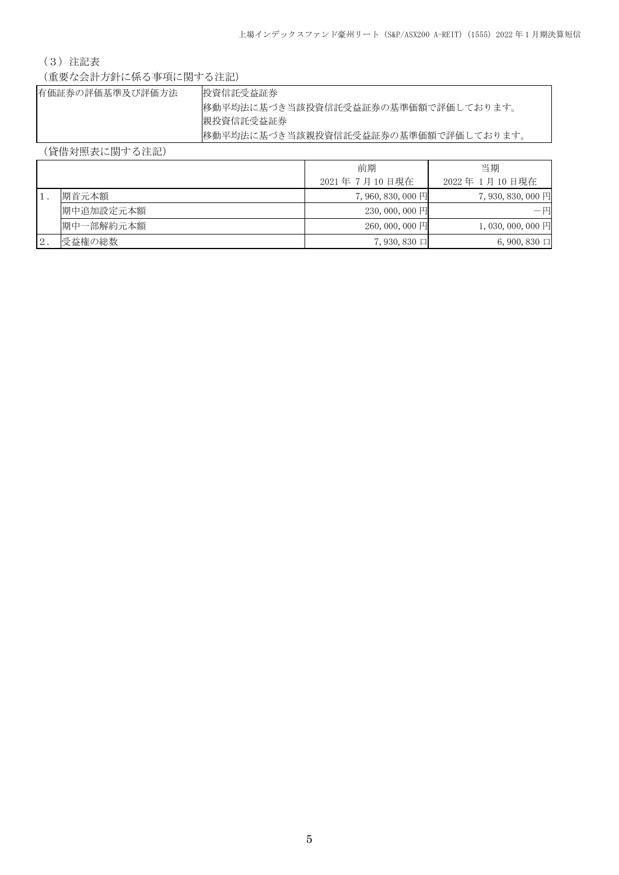## (3)注記表

(重要な会計方針に係る事項に関する注記)

| 有価証券の評価基準及び評価方法 | 投資信託受益証券                            |
|-----------------|-------------------------------------|
|                 | 移動平均法に基づき当該投資信託受益証券の基準価額で評価しております。  |
|                 | 親投資信託受益証券                           |
|                 | 移動平均法に基づき当該親投資信託受益証券の基準価額で評価しております。 |

# (貸借対照表に関する注記)

|               |           | 前期                | 当期               |
|---------------|-----------|-------------------|------------------|
|               |           | 2021年7月10日現在      | 2022年 1月10日現在    |
|               | 期首元本額     | $7,960,830,000$ 円 | 7,930,830,000 円  |
|               | 期中追加設定元本額 | $230,000,000$ 円   | — 円              |
|               | 期中一部解約元本額 | $260,000,000$ 円   | 1,030,000,000円   |
| $^{\circ}2$ . | 受益権の総数    | $7,930,830$ 口     | $6,900,830 \Box$ |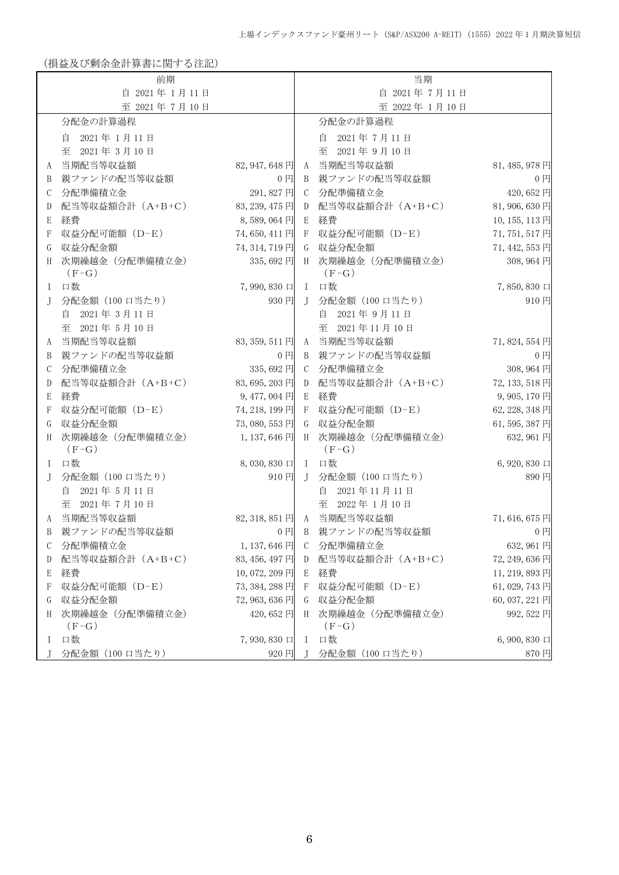(損益及び剰余金計算書に関する注記)

|          | 前期                         |                |               | 当期                           |                    |
|----------|----------------------------|----------------|---------------|------------------------------|--------------------|
|          | 自 2021年1月11日               |                |               | 自 2021年7月11日                 |                    |
|          | 至 2021年7月10日               |                |               | 至 2022年1月10日                 |                    |
|          | 分配金の計算過程                   |                |               | 分配金の計算過程                     |                    |
|          | 自 2021年1月11日               |                |               | 自 2021年7月11日                 |                    |
|          | 至<br>2021年3月10日            |                |               | 2021年9月10日<br>至              |                    |
| A        | 当期配当等収益額                   | 82, 947, 648 円 | A             | 当期配当等収益額                     | 81, 485, 978 円     |
| B        | 親ファンドの配当等収益額               | $0$ 円          |               | B 親ファンドの配当等収益額               | 0 <sub>1</sub>     |
| С        | 分配準備積立金                    | 291,827円       |               | C 分配準備積立金                    | 420,652円           |
| D        | 配当等収益額合計 (A+B+C)           | 83, 239, 475 円 | D             | 配当等収益額合計 (A+B+C)             | 81,906,630円        |
| Ε        | 経費                         | 8,589,064円     | E             | 経費                           | 10, 155, 113 円     |
| F        | 収益分配可能額 (D-E)              | 74,650,411円    | -F            | 収益分配可能額 (D-E)                | 71, 751, 517 円     |
| G        | 収益分配金額                     | 74, 314, 719 円 | G             | 収益分配金額                       | 71, 442, 553 円     |
| H        | 次期繰越金 (分配準備積立金)            | 335,692円       |               | H 次期繰越金 (分配準備積立金)            | 308, 964 円         |
|          | $(F-G)$                    |                |               | $(F-G)$                      |                    |
| L        | 口数                         | 7,990,830 口    |               | I 口数                         | 7,850,830 口        |
| J        | 分配金額 (100 口当たり)            | 930円           |               | J 分配金額 (100 口当たり)            | 910円               |
|          | 2021年3月11日<br>自            |                |               | 2021年9月11日<br>自              |                    |
|          | 至 2021年5月10日               |                |               | 至 2021年11月10日                |                    |
| A        | 当期配当等収益額                   | 83, 359, 511円  |               | A 当期配当等収益額                   | 71,824,554円        |
| B        | 親ファンドの配当等収益額               | $0$ $\Box$     |               | B 親ファンドの配当等収益額               | $0$ 円              |
| С        | 分配準備積立金                    | 335,692円       |               | C 分配準備積立金                    | 308, 964 円         |
| D        | 配当等収益額合計 (A+B+C)           | 83,695,203円    | D             | 配当等収益額合計 (A+B+C)             | 72, 133, 518 円     |
| Ε        | 経費                         | 9,477,004円     | E             | 経費                           | 9,905,170円         |
| F        | 収益分配可能額 (D-E)              | 74, 218, 199 円 | F             | 収益分配可能額 (D-E)                | 62, 228, 348 円     |
| G        | 収益分配金額                     | 73,080,553円    |               | G 収益分配金額                     | 61,595,387円        |
| H        | 次期繰越金 (分配準備積立金)            | 1,137,646円     |               | H 次期繰越金 (分配準備積立金)            | 632,961円           |
|          | $(F-G)$                    |                |               | $(F-G)$                      |                    |
| I        | 口数                         | 8,030,830 口    |               | I 口数                         | 6, 920, 830 $\Box$ |
| J        | 分配金額 (100 口当たり)            | 910円           | $\mathbf{J}$  | 分配金額 (100 口当たり)              | 890円               |
|          | 自 2021年5月11日               |                |               | 自 2021年11月11日                |                    |
|          | 至 2021年7月10日               |                |               | 至 2022年1月10日                 |                    |
| A        | 当期配当等収益額                   |                |               | 82, 318, 851 円 A 当期配当等収益額    | 71,616,675円        |
| B        | 親ファンドの配当等収益額               | $0$ 円          | B             | 親ファンドの配当等収益額                 | $0$ 円              |
| С        | 分配準備積立金                    | 1,137,646円     | $\mathcal{C}$ | 分配準備積立金                      | 632,961円           |
| D        | 配当等収益額合計 (A+B+C)           | 83, 456, 497 円 |               | D 配当等収益額合計 (A+B+C)           | 72, 249, 636 円     |
| E        | 経費                         | 10,072,209円    |               | E 経費                         | 11, 219, 893 円     |
| F        | 収益分配可能額 (D-E)              | 73, 384, 288 円 |               | F 収益分配可能額 (D-E)              | 61,029,743円        |
| G        | 収益分配金額                     | 72, 963, 636 円 |               | G 収益分配金額                     | 60, 037, 221 円     |
| H        | 次期繰越金 (分配準備積立金)<br>$(F-G)$ | 420,652 円      |               | H 次期繰越金 (分配準備積立金)<br>$(F-G)$ | 992,522円           |
| $\Gamma$ | 口数                         | 7,930,830 口    | $\mathbf{I}$  | 口数                           | $6,900,830 \Box$   |
| J.       | 分配金額 (100 口当たり)            | 920円           | $\top$        | 分配金額 (100 口当たり)              | 870円               |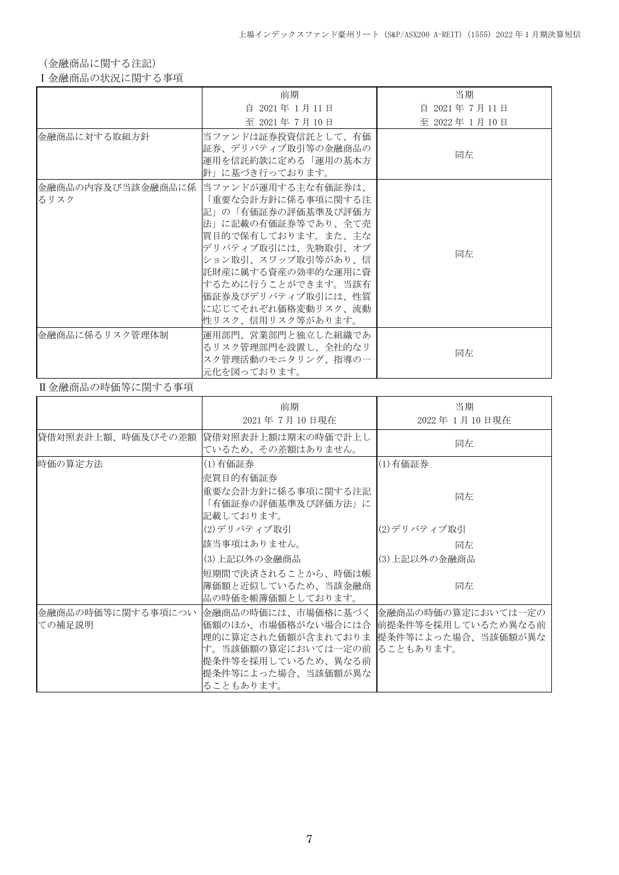(金融商品に関する注記)

Ⅰ金融商品の状況に関する事項

|                | 前期                                                                                                                                                                                                                                                                                            | 当期           |
|----------------|-----------------------------------------------------------------------------------------------------------------------------------------------------------------------------------------------------------------------------------------------------------------------------------------------|--------------|
|                | 自 2021年 1月11日                                                                                                                                                                                                                                                                                 | 自 2021年7月11日 |
|                | 至 2021年7月10日                                                                                                                                                                                                                                                                                  | 至 2022年1月10日 |
| 金融商品に対する取組方針   | 当ファンドは証券投資信託として、有価<br>証券、デリバティブ取引等の金融商品の<br>運用を信託約款に定める「運用の基本方<br>針」に基づき行っております。                                                                                                                                                                                                              | 同左           |
| るリスク           | 金融商品の内容及び当該金融商品に係   当ファンドが運用する主な有価証券は、<br>「重要な会計方針に係る事項に関する注<br>記」の「有価証券の評価基準及び評価方<br>法」に記載の有価証券等であり、全て売<br> 買目的で保有しております。また、主な<br> デリバティブ取引には、先物取引、オプ<br> ション取引、スワップ取引等があり、信 <br>託財産に属する資産の効率的な運用に資<br> するために行うことができます。当該有<br>価証券及びデリバティブ取引には、性質<br>に応じてそれぞれ価格変動リスク、流動<br> 性リスク、信用リスク等があります。 | 同左           |
| 金融商品に係るリスク管理体制 | 運用部門、営業部門と独立した組織であ<br>るリスク管理部門を設置し、全社的なリ<br>スク管理活動のモニタリング、指導の一<br>元化を図っております。                                                                                                                                                                                                                 | 同左           |

### Ⅱ金融商品の時価等に関する事項

|                             | 前期<br>2021年7月10日現在                                                                                                                                                                                                 | 当期<br>2022年 1月10日現在 |
|-----------------------------|--------------------------------------------------------------------------------------------------------------------------------------------------------------------------------------------------------------------|---------------------|
| 貸借対照表計上額、時価及びその差額           | 貸借対照表計上額は期末の時価で計上し<br>ているため、その差額はありません。                                                                                                                                                                            | 同左                  |
| 時価の算定方法                     | (1)有価証券<br>売買目的有価証券                                                                                                                                                                                                | (1)有価証券             |
|                             | 重要な会計方針に係る事項に関する注記<br>「有価証券の評価基準及び評価方法」に<br>記載しております。                                                                                                                                                              | 同左                  |
|                             | (2)デリバティブ取引                                                                                                                                                                                                        | (2)デリバティブ取引         |
|                             | 該当事項はありません。                                                                                                                                                                                                        | 同左                  |
|                             | (3)上記以外の金融商品                                                                                                                                                                                                       | (3)上記以外の金融商品        |
|                             | 短期間で決済されることから、時価は帳<br>簿価額と近似しているため、当該金融商<br>品の時価を帳簿価額としております。                                                                                                                                                      | 同左                  |
| 金融商品の時価等に関する事項につい<br>ての補足説明 | 金融商品の時価には、市場価格に基づく  金融商品の時価の算定においては一定の<br>価額のほか、市場価格がない場合には合  前提条件等を採用しているため異なる前<br>理的に算定された価額が含まれておりま 提条件等によった場合、当該価額が異な<br>す。当該価額の算定においては一定の前 ることもあります。<br>提条件等を採用しているため、異なる前<br>提条件等によった場合、当該価額が異な<br>ることもあります。 |                     |